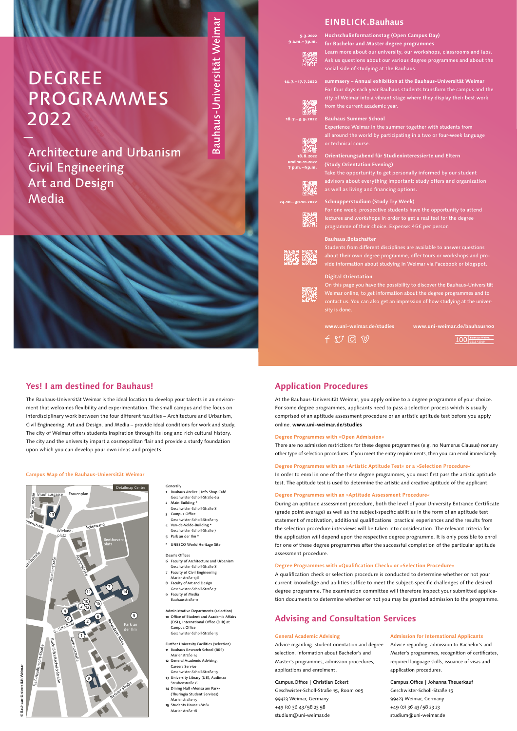- **Generally** 1 Bauhaus.Atelier | Info Shop Café
- Geschwister-Scholl-Straße 6 a 2 Main Building \*
- Geschwister-Scholl-Straße 8
- 3 Campus.Office Geschwister-Scholl-Straße 15
- 4 Van-de-Velde-Building \* Geschwister-Scholl-Straße 7
- 5 Park an der Ilm \*
- \* UNESCO World Heritage Site

Dean's Offices

- 6 Faculty of Architecture and Urbanism Geschwister-Scholl-Straße 8
- 7 Faculty of Civil Engineering Marienstraße 13 E
- 8 Faculty of Art and Design Geschwister-Scholl-Straße 7
- 9 Faculty of Media Bauhausstraße 11

- 11 Bauhaus Research School (BRS) Marienstraße 14
- 12 General Academic Advising Careers Service
- Geschwister-Scholl-Straße 15
- 13 University Library (UB), Audimax Steubenstraße 6
- 14 Dining Hall »Mensa am Park« (Thuringia Student Services) Marienstraße 15
- 15 Students House »M18 Marienstraße 18

Administrative Departments (selection) 10 Office of Student and Academic Affairs (DSL), International Office (DIB) at Campus.Office Geschwister-Scholl-Straße 15

Further University Facilities (selection)

Bauhaus-Universität Weimar Bauhaus-Universität Weimar ©

#### **Campus Map of the Bauhaus-Universität Weimar**



# **Application Procedures**

At the Bauhaus-Universität Weimar, you apply online to a degree programme of your choice. For some degree programmes, applicants need to pass a selection process which is usually comprised of an aptitude assessment procedure or an artistic aptitude test before you apply online. **www.uni-weimar.de/studies**

#### **Degree Programmes with »Open Admission«**

There are no admission restrictions for these degree programmes (e.g. no Numerus Clausus) nor any other type of selection procedures. If you meet the entry requirements, then you can enrol immediately.

#### **Degree Programmes with an »Artistic Aptitude Test« or a »Selection Procedure«**

In order to enrol in one of the these degree programmes, you must first pass the artistic aptitude test. The aptitude test is used to determine the artistic and creative aptitude of the applicant.

#### **Degree Programmes with an »Aptitude Assessment Procedure«**

During an aptitude assessment procedure, both the level of your University Entrance Certificate (grade point average) as well as the subject-specific abilities in the form of an aptitude test, statement of motivation, additional qualifications, practical experiences and the results from the selection procedure interviews will be taken into consideration. The relevant criteria for the application will depend upon the respective degree programme. It is only possible to enrol for one of these degree programmes after the successful completion of the particular aptitude

#### assessment procedure.

#### **Degree Programmes with »Qualification Check« or »Selection Procedure«**

A qualification check or selection procedure is conducted to determine whether or not your current knowledge and abilities suffice to meet the subject-specific challenges of the desired degree programme. The examination committee will therefore inspect your submitted application documents to determine whether or not you may be granted admission to the programme.

18.8.202 und 10.11.2022 7 p.m. – 9 p.m.

# **Advising and Consultation Services**

# **Yes! I am destined for Bauhaus!**

The Bauhaus-Universität Weimar is the ideal location to develop your talents in an environment that welcomes flexibility and experimentation. The small campus and the focus on interdisciplinary work between the four different faculties – Architecture and Urbanism, Civil Engineering, Art and Design, and Media – provide ideal conditions for work and study. The city of Weimar offers students inspiration through its long and rich cultural history. The city and the university impart a cosmopolitan flair and provide a sturdy foundation upon which you can develop your own ideas and projects.

#### **General Academic Advising**

Advice regarding: student orientation and degree selection, information about Bachelor's and Master's programmes, admission procedures, applications and enrolment.

Campus.Office | Christian Eckert Geschwister-Scholl-Straße 15, Room 005 99423 Weimar, Germany +49 (0) 36 43 /58 23 58 studium@uni-weimar.de

#### **Admission for International Applicants**

Advice regarding: admission to Bachelor's and Master's programmes, recognition of certificates, required language skills, issuance of visas and application procedures.

Campus.Office | Johanna Theuerkauf Geschwister-Scholl-Straße 15 99423 Weimar, Germany +49 (0) 36 43 /58 23 23 studium@uni-weimar.de

### **EINBLICK.Bauhaus**

**Hochschulinformationstag (Open Campus Day) for Bachelor and Master degree programmes** 

Learn more about our university, our workshops, classrooms and labs. Ask us questions about our various degree programmes and about the social side of studying at the Bauhaus.

**summaery – Annual exhibition at the Bauhaus-Universität Weimar** For four days each year Bauhaus students transform the campus and the city of Weimar into a vibrant stage where they display their best work from the current academic year.

**Bauhaus Summer School** 

Experience Weimar in the summer together with students from all around the world by participating in a two or four-week language or technical course.

**Orientierungsabend für Studieninteressierte und Eltern (Study Orientation Evening)** 

Take the opportunity to get personally informed by our student advisors about everything important: study offers and organization as well as living and financing options.

#### **Schnupperstudium (Study Try Week)**

For one week, prospective students have the opportunity to attend lectures and workshops in order to get a real feel for the degree programme of their choice. Expense: 45€ per person



Students from different disciplines are available to answer questions about their own degree programme, offer tours or workshops and provide information about studying in Weimar via Facebook or blogspot.

#### **Digital Orientation**

On this page you have the possibility to discover the Bauhaus-Universität Weimar online, to get information about the degree programmes and to contact us. You can also get an impression of how studying at the university is done.

 $f \nabla \mathbb{G} \nabla$ 

**www.uni-weimar.de/studies www.uni-weimar.de/bauhaus100**

 $100$  Bauhaus Weimar

14. 7. –17. 7. 2022





5. 3. 2022 9 a.m. – 3 p.m.



# DEGREE PROGRAMMES 2022

—

Architecture and Urbanism Civil Engineering Art and Design Media

# Bauhaus-Universität Weimar